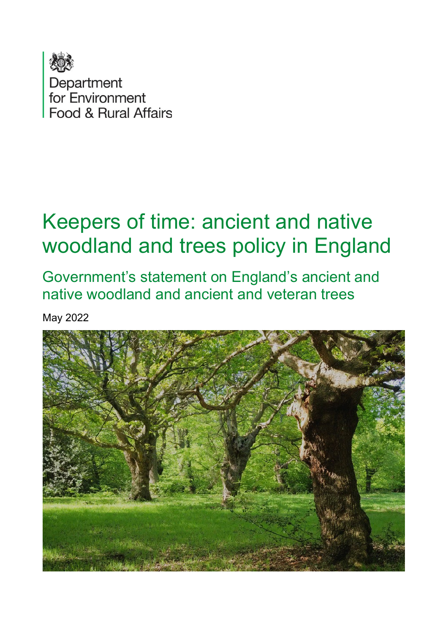

# Keepers of time: ancient and native woodland and trees policy in England

Government's statement on England's ancient and native woodland and ancient and veteran trees

May 2022

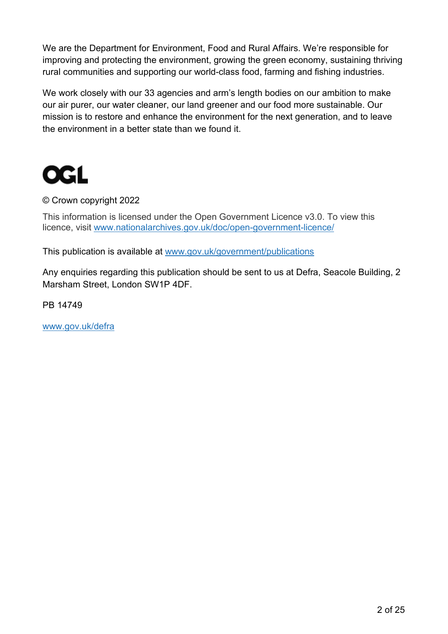We are the Department for Environment, Food and Rural Affairs. We're responsible for improving and protecting the environment, growing the green economy, sustaining thriving rural communities and supporting our world-class food, farming and fishing industries.

We work closely with our 33 agencies and arm's length bodies on our ambition to make our air purer, our water cleaner, our land greener and our food more sustainable. Our mission is to restore and enhance the environment for the next generation, and to leave the environment in a better state than we found it.



#### © Crown copyright 2022

This information is licensed under the Open Government Licence v3.0. To view this licence, visit [www.nationalarchives.gov.uk/doc/open-government-licence/](http://www.nationalarchives.gov.uk/doc/open-government-licence/) 

This publication is available at [www.gov.uk/government/publications](http://www.gov.uk/government/publications) 

Any enquiries regarding this publication should be sent to us at Defra, Seacole Building, 2 Marsham Street, London SW1P 4DF.

PB 14749

[www.gov.uk/defra](http://www.gov.uk/defra)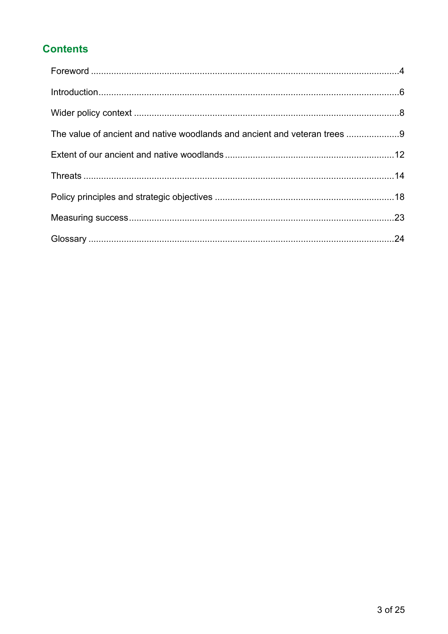# **Contents**

| The value of ancient and native woodlands and ancient and veteran trees 9 |  |
|---------------------------------------------------------------------------|--|
|                                                                           |  |
|                                                                           |  |
|                                                                           |  |
|                                                                           |  |
|                                                                           |  |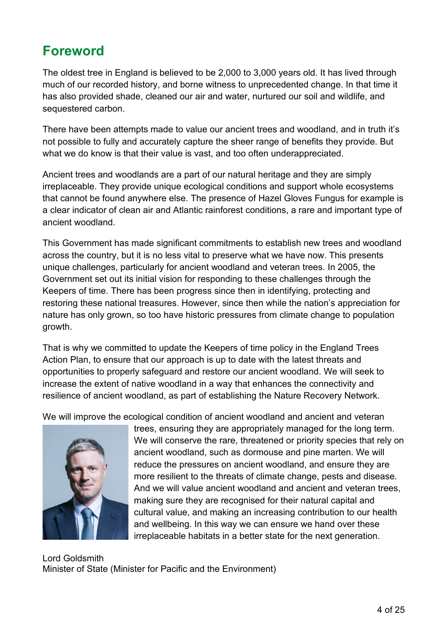# <span id="page-3-0"></span>**Foreword**

The oldest tree in England is believed to be 2,000 to 3,000 years old. It has lived through much of our recorded history, and borne witness to unprecedented change. In that time it has also provided shade, cleaned our air and water, nurtured our soil and wildlife, and sequestered carbon.

There have been attempts made to value our ancient trees and woodland, and in truth it's not possible to fully and accurately capture the sheer range of benefits they provide. But what we do know is that their value is vast, and too often underappreciated.

Ancient trees and woodlands are a part of our natural heritage and they are simply irreplaceable. They provide unique ecological conditions and support whole ecosystems that cannot be found anywhere else. The presence of Hazel Gloves Fungus for example is a clear indicator of clean air and Atlantic rainforest conditions, a rare and important type of ancient woodland.

This Government has made significant commitments to establish new trees and woodland across the country, but it is no less vital to preserve what we have now. This presents unique challenges, particularly for ancient woodland and veteran trees. In 2005, the Government set out its initial vision for responding to these challenges through the Keepers of time. There has been progress since then in identifying, protecting and restoring these national treasures. However, since then while the nation's appreciation for nature has only grown, so too have historic pressures from climate change to population growth.

That is why we committed to update the Keepers of time policy in the England Trees Action Plan, to ensure that our approach is up to date with the latest threats and opportunities to properly safeguard and restore our ancient woodland. We will seek to increase the extent of native woodland in a way that enhances the connectivity and resilience of ancient woodland, as part of establishing the Nature Recovery Network.

We will improve the ecological condition of ancient woodland and ancient and veteran



trees, ensuring they are appropriately managed for the long term. We will conserve the rare, threatened or priority species that rely on ancient woodland, such as dormouse and pine marten. We will reduce the pressures on ancient woodland, and ensure they are more resilient to the threats of climate change, pests and disease. And we will value ancient woodland and ancient and veteran trees, making sure they are recognised for their natural capital and cultural value, and making an increasing contribution to our health and wellbeing. In this way we can ensure we hand over these irreplaceable habitats in a better state for the next generation.

Lord Goldsmith Minister of State (Minister for Pacific and the Environment)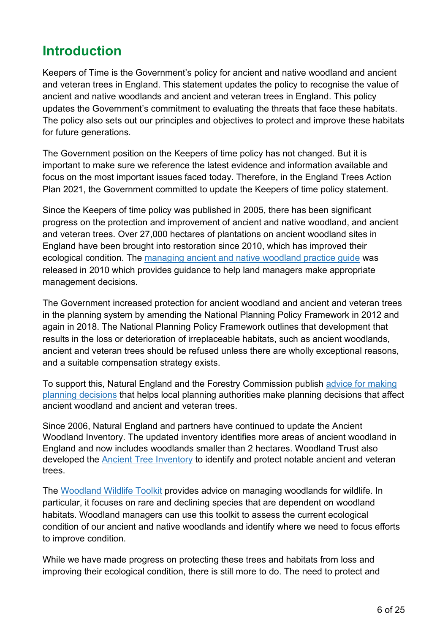# <span id="page-5-0"></span>**Introduction**

Keepers of Time is the Government's policy for ancient and native woodland and ancient and veteran trees in England. This statement updates the policy to recognise the value of ancient and native woodlands and ancient and veteran trees in England. This policy updates the Government's commitment to evaluating the threats that face these habitats. The policy also sets out our principles and objectives to protect and improve these habitats for future generations.

The Government position on the Keepers of time policy has not changed. But it is important to make sure we reference the latest evidence and information available and focus on the most important issues faced today. Therefore, in the [England Trees Action](https://www.gov.uk/government/publications/england-trees-action-plan-2021-to-2024#:%7E:text=The%20England%20Trees%20Action%20Plan,England%20by%202050%20and%20beyond.)  [Plan 2021,](https://www.gov.uk/government/publications/england-trees-action-plan-2021-to-2024#:%7E:text=The%20England%20Trees%20Action%20Plan,England%20by%202050%20and%20beyond.) the Government committed to update the Keepers of time policy statement.

Since the Keepers of time policy was published in 2005, there has been significant progress on the protection and improvement of ancient and native woodland, and ancient and veteran trees. Over 27,000 hectares of plantations on ancient woodland sites in England have been brought into restoration since 2010, which has improved their ecological condition. The [managing ancient and native woodland practice guide](https://www.gov.uk/government/publications/managing-ancient-and-native-woodland-in-england) was released in 2010 which provides guidance to help land managers make appropriate management decisions.

The Government increased protection for ancient woodland and ancient and veteran trees in the planning system by amending the National Planning Policy Framework in 2012 and again in 2018. The National Planning Policy Framework outlines that development that results in the loss or deterioration of irreplaceable habitats, such as ancient woodlands, ancient and veteran trees should be refused unless there are wholly exceptional reasons, and a suitable compensation strategy exists.

To support this, Natural England and the Forestry Commission publish [advice for making](https://www.gov.uk/guidance/ancient-woodland-ancient-trees-and-veteran-trees-advice-for-making-planning-decisions)  [planning decisions](https://www.gov.uk/guidance/ancient-woodland-ancient-trees-and-veteran-trees-advice-for-making-planning-decisions) that helps local planning authorities make planning decisions that affect ancient woodland and ancient and veteran trees.

Since 2006, Natural England and partners have continued to update the Ancient Woodland Inventory. The updated inventory identifies more areas of ancient woodland in England and now includes woodlands smaller than 2 hectares. Woodland Trust also developed the [Ancient Tree Inventory](https://ati.woodlandtrust.org.uk/) to identify and protect notable ancient and veteran trees.

The [Woodland Wildlife Toolkit](https://woodlandwildlifetoolkit.sylva.org.uk/) provides advice on managing woodlands for wildlife. In particular, it focuses on rare and declining species that are dependent on woodland habitats. Woodland managers can use this toolkit to assess the current ecological condition of our ancient and native woodlands and identify where we need to focus efforts to improve condition.

While we have made progress on protecting these trees and habitats from loss and improving their ecological condition, there is still more to do. The need to protect and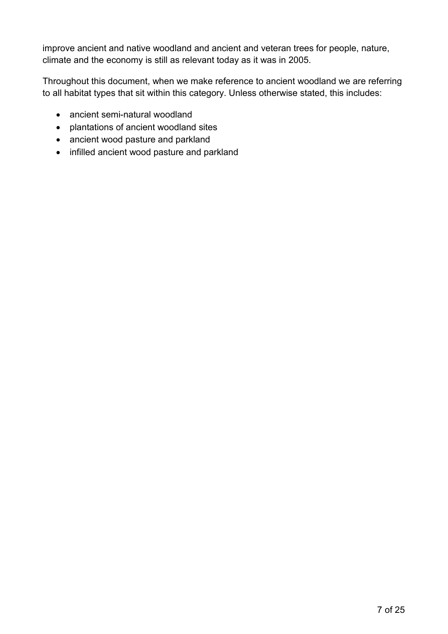improve ancient and native woodland and ancient and veteran trees for people, nature, climate and the economy is still as relevant today as it was in 2005.

Throughout this document, when we make reference to ancient woodland we are referring to all habitat types that sit within this category. Unless otherwise stated, this includes:

- ancient semi-natural woodland
- plantations of ancient woodland sites
- ancient wood pasture and parkland
- infilled ancient wood pasture and parkland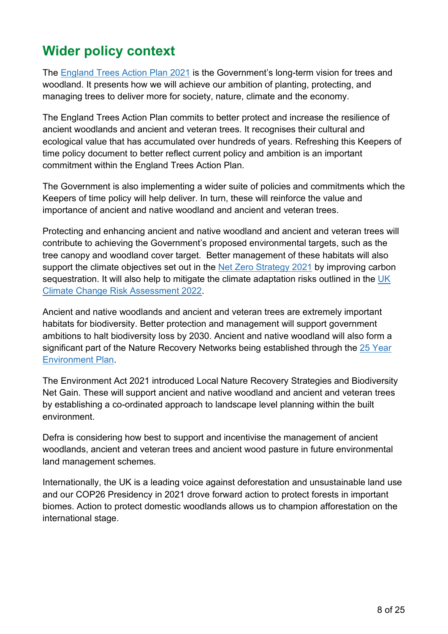# <span id="page-7-0"></span>**Wider policy context**

The [England Trees Action Plan](https://www.gov.uk/government/publications/england-trees-action-plan-2021-to-2024#:%7E:text=The%20England%20Trees%20Action%20Plan,England%20by%202050%20and%20beyond.) 2021 is the Government's long-term vision for trees and woodland. It presents how we will achieve our ambition of planting, protecting, and managing trees to deliver more for society, nature, climate and the economy.

The England Trees Action Plan commits to better protect and increase the resilience of ancient woodlands and ancient and veteran trees. It recognises their cultural and ecological value that has accumulated over hundreds of years. Refreshing this Keepers of time policy document to better reflect current policy and ambition is an important commitment within the England Trees Action Plan.

The Government is also implementing a wider suite of policies and commitments which the Keepers of time policy will help deliver. In turn, these will reinforce the value and importance of ancient and native woodland and ancient and veteran trees.

Protecting and enhancing ancient and native woodland and ancient and veteran trees will contribute to achieving the Government's proposed environmental targets, such as the tree canopy and woodland cover target. Better management of these habitats will also support the climate objectives set out in the [Net Zero Strategy 2021](https://www.gov.uk/government/publications/net-zero-strategy) by improving carbon sequestration. It will also help to mitigate the climate adaptation risks outlined in the UK [Climate Change Risk Assessment 2022.](https://www.gov.uk/government/publications/uk-climate-change-risk-assessment-2022)

Ancient and native woodlands and ancient and veteran trees are extremely important habitats for biodiversity. Better protection and management will support government ambitions to halt biodiversity loss by 2030. Ancient and native woodland will also form a significant part of the Nature Recovery Networks being established through the 25 Year [Environment Plan.](https://www.gov.uk/government/publications/25-year-environment-plan)

The Environment Act 2021 introduced Local Nature Recovery Strategies and Biodiversity Net Gain. These will support ancient and native woodland and ancient and veteran trees by establishing a co-ordinated approach to landscape level planning within the built environment.

Defra is considering how best to support and incentivise the management of ancient woodlands, ancient and veteran trees and ancient wood pasture in future environmental land management schemes.

Internationally, the UK is a leading voice against deforestation and unsustainable land use and our COP26 Presidency in 2021 drove forward action to protect forests in important biomes. Action to protect domestic woodlands allows us to champion afforestation on the international stage.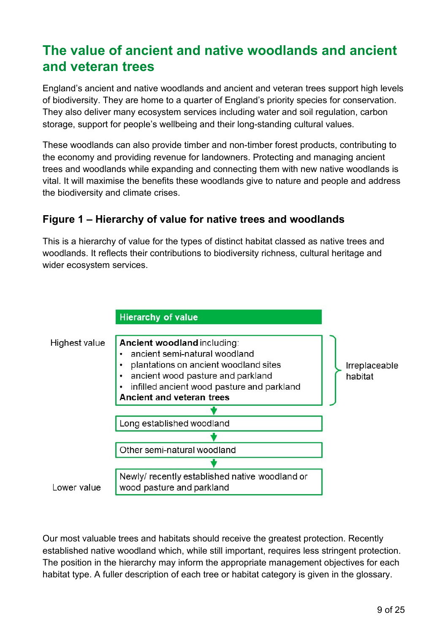# <span id="page-8-0"></span>**The value of ancient and native woodlands and ancient and veteran trees**

England's ancient and native woodlands and ancient and veteran trees support high levels of biodiversity. They are home to a quarter of England's priority species for conservation. They also deliver many ecosystem services including water and soil regulation, carbon storage, support for people's wellbeing and their long-standing cultural values.

These woodlands can also provide timber and non-timber forest products, contributing to the economy and providing revenue for landowners. Protecting and managing ancient trees and woodlands while expanding and connecting them with new native woodlands is vital. It will maximise the benefits these woodlands give to nature and people and address the biodiversity and climate crises.

## **Figure 1 – Hierarchy of value for native trees and woodlands**

This is a hierarchy of value for the types of distinct habitat classed as native trees and woodlands. It reflects their contributions to biodiversity richness, cultural heritage and wider ecosystem services.



Our most valuable trees and habitats should receive the greatest protection. Recently established native woodland which, while still important, requires less stringent protection. The position in the hierarchy may inform the appropriate management objectives for each habitat type. A fuller description of each tree or habitat category is given in the glossary.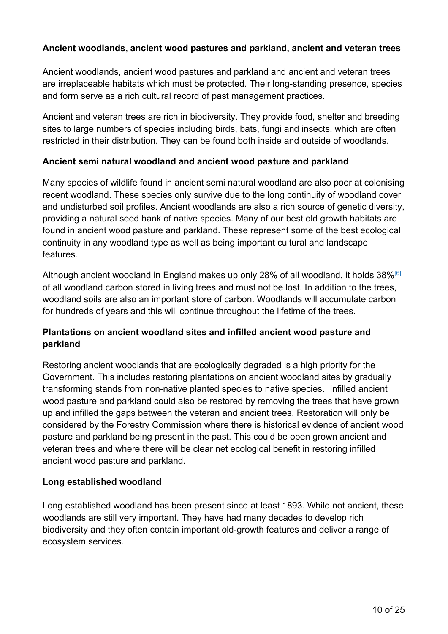#### **Ancient woodlands, ancient wood pastures and parkland, ancient and veteran trees**

Ancient woodlands, ancient wood pastures and parkland and ancient and veteran trees are irreplaceable habitats which must be protected. Their long-standing presence, species and form serve as a rich cultural record of past management practices.

Ancient and veteran trees are rich in biodiversity. They provide food, shelter and breeding sites to large numbers of species including birds, bats, fungi and insects, which are often restricted in their distribution. They can be found both inside and outside of woodlands.

#### **Ancient semi natural woodland and ancient wood pasture and parkland**

Many species of wildlife found in ancient semi natural woodland are also poor at colonising recent woodland. These species only survive due to the long continuity of woodland cover and undisturbed soil profiles. Ancient woodlands are also a rich source of genetic diversity, providing a natural seed bank of native species. Many of our best old growth habitats are found in ancient wood pasture and parkland. These represent some of the best ecological continuity in any woodland type as well as being important cultural and landscape features.

Although ancient woodland in England makes up only 28% of all woodland, it holds 38%<sup>[6]</sup> of all woodland carbon stored in living trees and must not be lost. In addition to the trees, woodland soils are also an important store of carbon. Woodlands will accumulate carbon for hundreds of years and this will continue throughout the lifetime of the trees.

#### **Plantations on ancient woodland sites and infilled ancient wood pasture and parkland**

Restoring ancient woodlands that are ecologically degraded is a high priority for the Government. This includes restoring plantations on ancient woodland sites by gradually transforming stands from non-native planted species to native species. Infilled ancient wood pasture and parkland could also be restored by removing the trees that have grown up and infilled the gaps between the veteran and ancient trees. Restoration will only be considered by the Forestry Commission where there is historical evidence of ancient wood pasture and parkland being present in the past. This could be open grown ancient and veteran trees and where there will be clear net ecological benefit in restoring infilled ancient wood pasture and parkland.

#### **Long established woodland**

Long established woodland has been present since at least 1893. While not ancient, these woodlands are still very important. They have had many decades to develop rich biodiversity and they often contain important old-growth features and deliver a range of ecosystem services.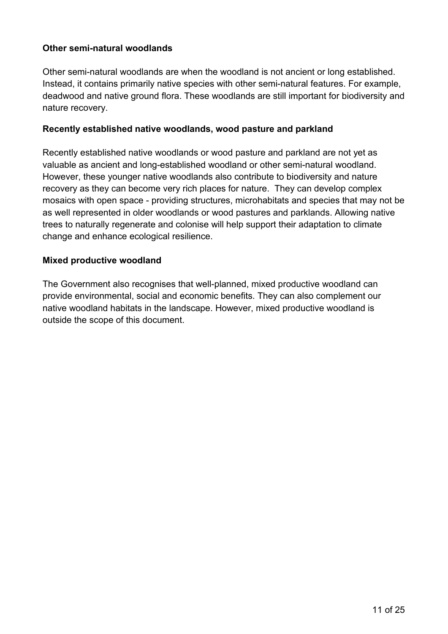#### **Other semi-natural woodlands**

Other semi-natural woodlands are when the woodland is not ancient or long established. Instead, it contains primarily native species with other semi-natural features. For example, deadwood and native ground flora. These woodlands are still important for biodiversity and nature recovery.

#### **Recently established native woodlands, wood pasture and parkland**

Recently established native woodlands or wood pasture and parkland are not yet as valuable as ancient and long-established woodland or other semi-natural woodland. However, these younger native woodlands also contribute to biodiversity and nature recovery as they can become very rich places for nature. They can develop complex mosaics with open space - providing structures, microhabitats and species that may not be as well represented in older woodlands or wood pastures and parklands. Allowing native trees to naturally regenerate and colonise will help support their adaptation to climate change and enhance ecological resilience.

#### **Mixed productive woodland**

The Government also recognises that well-planned, mixed productive woodland can provide environmental, social and economic benefits. They can also complement our native woodland habitats in the landscape. However, mixed productive woodland is outside the scope of this document.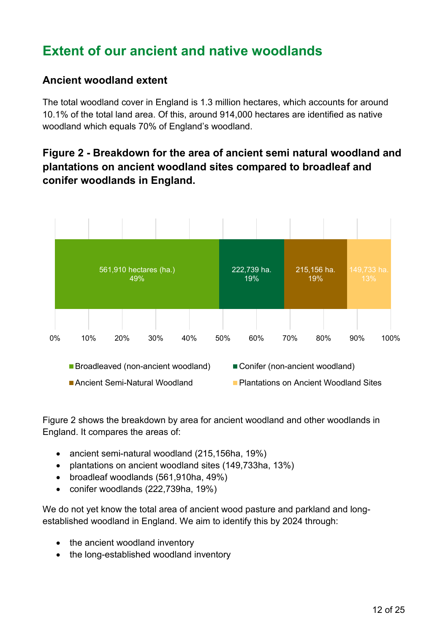# <span id="page-11-0"></span>**Extent of our ancient and native woodlands**

#### **Ancient woodland extent**

The total woodland cover in England is 1.3 million hectares, which accounts for around 10.1% of the total land area. Of this, around 914,000 hectares are identified as native woodland which equals 70% of England's woodland.

# **Figure 2 - Breakdown for the area of ancient semi natural woodland and plantations on ancient woodland sites compared to broadleaf and conifer woodlands in England.**



Figure 2 shows the breakdown by area for ancient woodland and other woodlands in England. It compares the areas of:

- ancient semi-natural woodland (215,156ha, 19%)
- plantations on ancient woodland sites (149,733ha, 13%)
- broadleaf woodlands (561,910ha, 49%)
- conifer woodlands (222,739ha, 19%)

We do not yet know the total area of ancient wood pasture and parkland and longestablished woodland in England. We aim to identify this by 2024 through:

- the ancient woodland inventory
- the long-established woodland inventory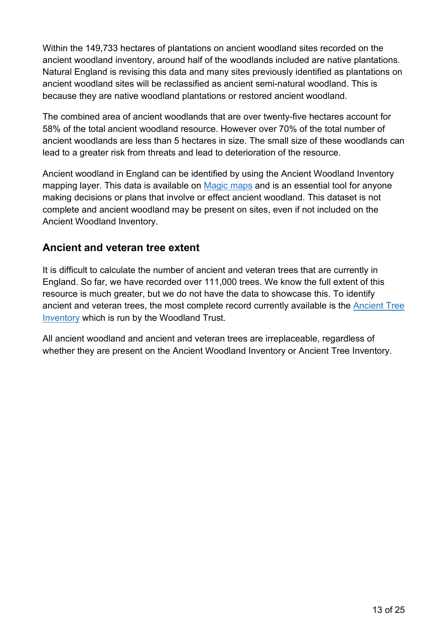Within the 149,733 hectares of plantations on ancient woodland sites recorded on the ancient woodland inventory, around half of the woodlands included are native plantations. Natural England is revising this data and many sites previously identified as plantations on ancient woodland sites will be reclassified as ancient semi-natural woodland. This is because they are native woodland plantations or restored ancient woodland.

The combined area of ancient woodlands that are over twenty-five hectares account for 58% of the total ancient woodland resource. However over 70% of the total number of ancient woodlands are less than 5 hectares in size. The small size of these woodlands can lead to a greater risk from threats and lead to deterioration of the resource.

Ancient woodland in England can be identified by using the Ancient Woodland Inventory mapping layer. This data is available on [Magic](https://magic.defra.gov.uk/) maps and is an essential tool for anyone making decisions or plans that involve or effect ancient woodland. This dataset is not complete and ancient woodland may be present on sites, even if not included on the Ancient Woodland Inventory.

#### **Ancient and veteran tree extent**

It is difficult to calculate the number of ancient and veteran trees that are currently in England. So far, we have recorded over 111,000 trees. We know the full extent of this resource is much greater, but we do not have the data to showcase this. To identify ancient and veteran trees, the most complete record currently available is the [Ancient Tree](https://ati.woodlandtrust.org.uk/)  [Inventory](https://ati.woodlandtrust.org.uk/) which is run by the Woodland Trust.

All ancient woodland and ancient and veteran trees are irreplaceable, regardless of whether they are present on the Ancient Woodland Inventory or Ancient Tree Inventory.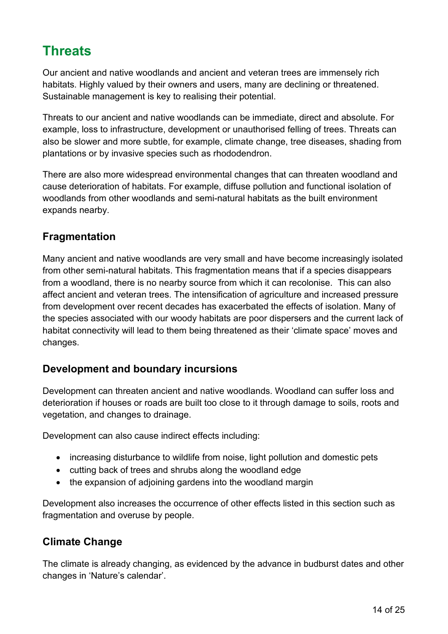# <span id="page-13-0"></span>**Threats**

Our ancient and native woodlands and ancient and veteran trees are immensely rich habitats. Highly valued by their owners and users, many are declining or threatened. Sustainable management is key to realising their potential.

Threats to our ancient and native woodlands can be immediate, direct and absolute. For example, loss to infrastructure, development or unauthorised felling of trees. Threats can also be slower and more subtle, for example, climate change, tree diseases, shading from plantations or by invasive species such as rhododendron.

There are also more widespread environmental changes that can threaten woodland and cause deterioration of habitats. For example, diffuse pollution and functional isolation of woodlands from other woodlands and semi-natural habitats as the built environment expands nearby.

### **Fragmentation**

Many ancient and native woodlands are very small and have become increasingly isolated from other semi-natural habitats. This fragmentation means that if a species disappears from a woodland, there is no nearby source from which it can recolonise. This can also affect ancient and veteran trees. The intensification of agriculture and increased pressure from development over recent decades has exacerbated the effects of isolation. Many of the species associated with our woody habitats are poor dispersers and the current lack of habitat connectivity will lead to them being threatened as their 'climate space' moves and changes.

#### **Development and boundary incursions**

Development can threaten ancient and native woodlands. Woodland can suffer loss and deterioration if houses or roads are built too close to it through damage to soils, roots and vegetation, and changes to drainage.

Development can also cause indirect effects including:

- increasing disturbance to wildlife from noise, light pollution and domestic pets
- cutting back of trees and shrubs along the woodland edge
- the expansion of adjoining gardens into the woodland margin

Development also increases the occurrence of other effects listed in this section such as fragmentation and overuse by people.

#### **Climate Change**

The climate is already changing, as evidenced by the advance in budburst dates and other changes in 'Nature's calendar'.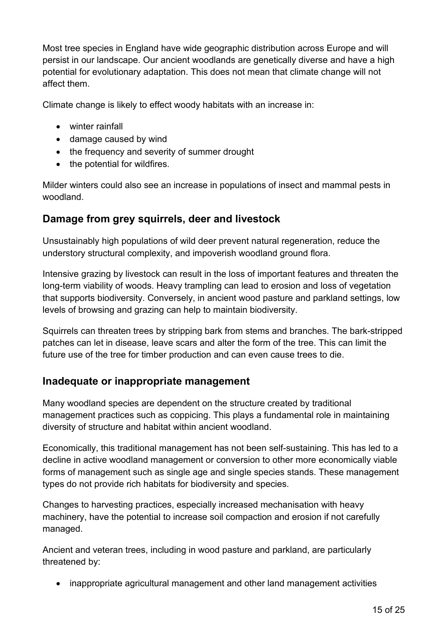Most tree species in England have wide geographic distribution across Europe and will persist in our landscape. Our ancient woodlands are genetically diverse and have a high potential for evolutionary adaptation. This does not mean that climate change will not affect them.

Climate change is likely to effect woody habitats with an increase in:

- winter rainfall
- damage caused by wind
- the frequency and severity of summer drought
- the potential for wildfires.

Milder winters could also see an increase in populations of insect and mammal pests in woodland.

#### **Damage from grey squirrels, deer and livestock**

Unsustainably high populations of wild deer prevent natural regeneration, reduce the understory structural complexity, and impoverish woodland ground flora.

Intensive grazing by livestock can result in the loss of important features and threaten the long-term viability of woods. Heavy trampling can lead to erosion and loss of vegetation that supports biodiversity. Conversely, in ancient wood pasture and parkland settings, low levels of browsing and grazing can help to maintain biodiversity.

Squirrels can threaten trees by stripping bark from stems and branches. The bark-stripped patches can let in disease, leave scars and alter the form of the tree. This can limit the future use of the tree for timber production and can even cause trees to die.

#### **Inadequate or inappropriate management**

Many woodland species are dependent on the structure created by traditional management practices such as coppicing. This plays a fundamental role in maintaining diversity of structure and habitat within ancient woodland.

Economically, this traditional management has not been self-sustaining. This has led to a decline in active woodland management or conversion to other more economically viable forms of management such as single age and single species stands. These management types do not provide rich habitats for biodiversity and species.

Changes to harvesting practices, especially increased mechanisation with heavy machinery, have the potential to increase soil compaction and erosion if not carefully managed.

Ancient and veteran trees, including in wood pasture and parkland, are particularly threatened by:

• inappropriate agricultural management and other land management activities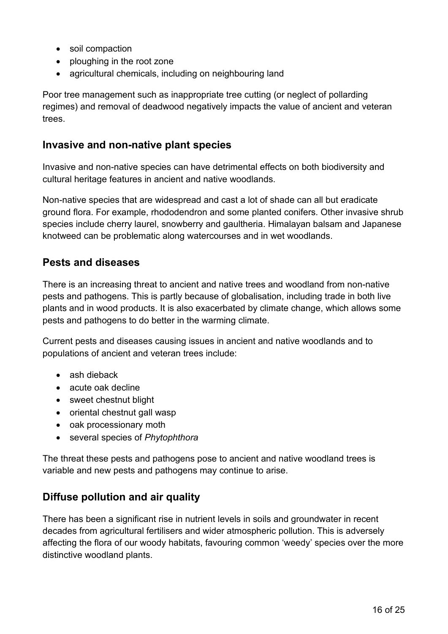- soil compaction
- ploughing in the root zone
- agricultural chemicals, including on neighbouring land

Poor tree management such as inappropriate tree cutting (or neglect of pollarding regimes) and removal of deadwood negatively impacts the value of ancient and veteran trees.

#### **Invasive and non-native plant species**

Invasive and non-native species can have detrimental effects on both biodiversity and cultural heritage features in ancient and native woodlands.

Non-native species that are widespread and cast a lot of shade can all but eradicate ground flora. For example, rhododendron and some planted conifers. Other invasive shrub species include cherry laurel, snowberry and gaultheria. Himalayan balsam and Japanese knotweed can be problematic along watercourses and in wet woodlands.

#### **Pests and diseases**

There is an increasing threat to ancient and native trees and woodland from non-native pests and pathogens. This is partly because of globalisation, including trade in both live plants and in wood products. It is also exacerbated by climate change, which allows some pests and pathogens to do better in the warming climate.

Current pests and diseases causing issues in ancient and native woodlands and to populations of ancient and veteran trees include:

- ash dieback
- acute oak decline
- sweet chestnut blight
- oriental chestnut gall wasp
- oak processionary moth
- several species of *Phytophthora*

The threat these pests and pathogens pose to ancient and native woodland trees is variable and new pests and pathogens may continue to arise.

#### **Diffuse pollution and air quality**

There has been a significant rise in nutrient levels in soils and groundwater in recent decades from agricultural fertilisers and wider atmospheric pollution. This is adversely affecting the flora of our woody habitats, favouring common 'weedy' species over the more distinctive woodland plants.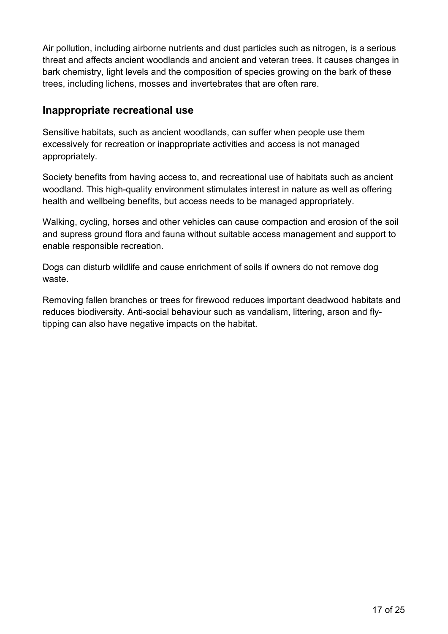Air pollution, including airborne nutrients and dust particles such as nitrogen, is a serious threat and affects ancient woodlands and ancient and veteran trees. It causes changes in bark chemistry, light levels and the composition of species growing on the bark of these trees, including lichens, mosses and invertebrates that are often rare.

#### **Inappropriate recreational use**

Sensitive habitats, such as ancient woodlands, can suffer when people use them excessively for recreation or inappropriate activities and access is not managed appropriately.

Society benefits from having access to, and recreational use of habitats such as ancient woodland. This high-quality environment stimulates interest in nature as well as offering health and wellbeing benefits, but access needs to be managed appropriately.

Walking, cycling, horses and other vehicles can cause compaction and erosion of the soil and supress ground flora and fauna without suitable access management and support to enable responsible recreation.

Dogs can disturb wildlife and cause enrichment of soils if owners do not remove dog waste.

Removing fallen branches or trees for firewood reduces important deadwood habitats and reduces biodiversity. Anti-social behaviour such as vandalism, littering, arson and flytipping can also have negative impacts on the habitat.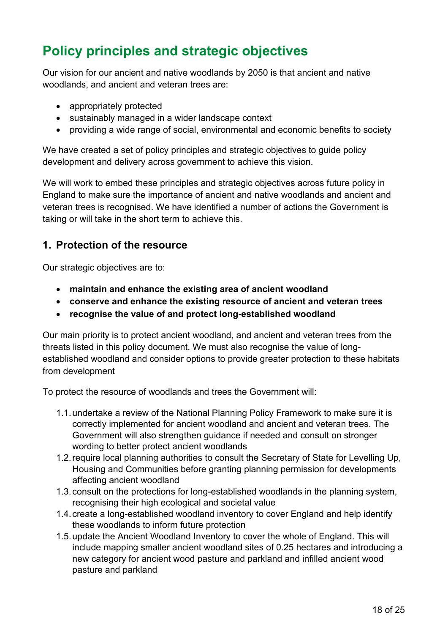# <span id="page-17-0"></span>**Policy principles and strategic objectives**

Our vision for our ancient and native woodlands by 2050 is that ancient and native woodlands, and ancient and veteran trees are:

- appropriately protected
- sustainably managed in a wider landscape context
- providing a wide range of social, environmental and economic benefits to society

We have created a set of policy principles and strategic objectives to guide policy development and delivery across government to achieve this vision.

We will work to embed these principles and strategic objectives across future policy in England to make sure the importance of ancient and native woodlands and ancient and veteran trees is recognised. We have identified a number of actions the Government is taking or will take in the short term to achieve this.

### **1. Protection of the resource**

Our strategic objectives are to:

- **maintain and enhance the existing area of ancient woodland**
- **conserve and enhance the existing resource of ancient and veteran trees**
- **recognise the value of and protect long-established woodland**

Our main priority is to protect ancient woodland, and ancient and veteran trees from the threats listed in this policy document. We must also recognise the value of longestablished woodland and consider options to provide greater protection to these habitats from development

To protect the resource of woodlands and trees the Government will:

- 1.1.undertake a review of the National Planning Policy Framework to make sure it is correctly implemented for ancient woodland and ancient and veteran trees. The Government will also strengthen guidance if needed and consult on stronger wording to better protect ancient woodlands
- 1.2.require local planning authorities to consult the Secretary of State for Levelling Up, Housing and Communities before granting planning permission for developments affecting ancient woodland
- 1.3.consult on the protections for long-established woodlands in the planning system, recognising their high ecological and societal value
- 1.4.create a long-established woodland inventory to cover England and help identify these woodlands to inform future protection
- 1.5.update the Ancient Woodland Inventory to cover the whole of England. This will include mapping smaller ancient woodland sites of 0.25 hectares and introducing a new category for ancient wood pasture and parkland and infilled ancient wood pasture and parkland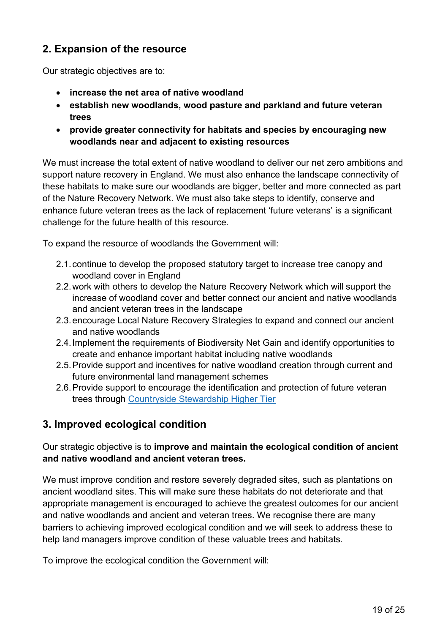# **2. Expansion of the resource**

Our strategic objectives are to:

- **increase the net area of native woodland**
- **establish new woodlands, wood pasture and parkland and future veteran trees**
- **provide greater connectivity for habitats and species by encouraging new woodlands near and adjacent to existing resources**

We must increase the total extent of native woodland to deliver our net zero ambitions and support nature recovery in England. We must also enhance the landscape connectivity of these habitats to make sure our woodlands are bigger, better and more connected as part of the Nature Recovery Network. We must also take steps to identify, conserve and enhance future veteran trees as the lack of replacement 'future veterans' is a significant challenge for the future health of this resource.

To expand the resource of woodlands the Government will:

- 2.1.continue to develop the proposed statutory target to increase tree canopy and woodland cover in England
- 2.2.work with others to develop the Nature Recovery Network which will support the increase of woodland cover and better connect our ancient and native woodlands and ancient veteran trees in the landscape
- 2.3.encourage Local Nature Recovery Strategies to expand and connect our ancient and native woodlands
- 2.4.Implement the requirements of Biodiversity Net Gain and identify opportunities to create and enhance important habitat including native woodlands
- 2.5.Provide support and incentives for native woodland creation through current and future environmental land management schemes
- 2.6.Provide support to encourage the identification and protection of future veteran trees through [Countryside Stewardship Higher Tier](https://www.gov.uk/guidance/higher-tier-manual-countryside-stewardship)

## **3. Improved ecological condition**

#### Our strategic objective is to **improve and maintain the ecological condition of ancient and native woodland and ancient veteran trees.**

We must improve condition and restore severely degraded sites, such as plantations on ancient woodland sites. This will make sure these habitats do not deteriorate and that appropriate management is encouraged to achieve the greatest outcomes for our ancient and native woodlands and ancient and veteran trees. We recognise there are many barriers to achieving improved ecological condition and we will seek to address these to help land managers improve condition of these valuable trees and habitats.

To improve the ecological condition the Government will: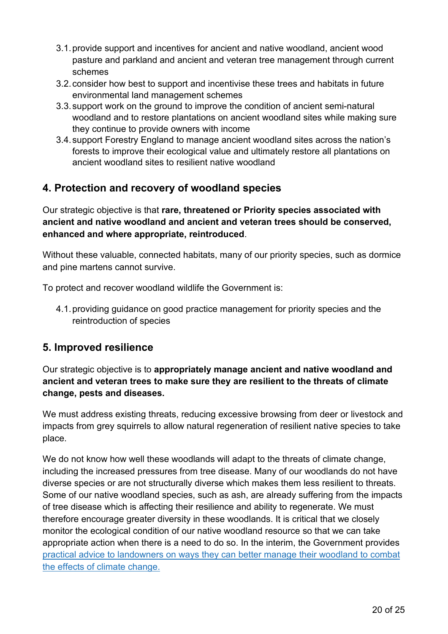- 3.1.provide support and incentives for ancient and native woodland, ancient wood pasture and parkland and ancient and veteran tree management through current schemes
- 3.2.consider how best to support and incentivise these trees and habitats in future environmental land management schemes
- 3.3.support work on the ground to improve the condition of ancient semi-natural woodland and to restore plantations on ancient woodland sites while making sure they continue to provide owners with income
- 3.4.support Forestry England to manage ancient woodland sites across the nation's forests to improve their ecological value and ultimately restore all plantations on ancient woodland sites to resilient native woodland

# **4. Protection and recovery of woodland species**

Our strategic objective is that **rare, threatened or Priority species associated with ancient and native woodland and ancient and veteran trees should be conserved, enhanced and where appropriate, reintroduced**.

Without these valuable, connected habitats, many of our priority species, such as dormice and pine martens cannot survive.

To protect and recover woodland wildlife the Government is:

4.1.providing guidance on good practice management for priority species and the reintroduction of species

#### **5. Improved resilience**

Our strategic objective is to **appropriately manage ancient and native woodland and ancient and veteran trees to make sure they are resilient to the threats of climate change, pests and diseases.**

We must address existing threats, reducing excessive browsing from deer or livestock and impacts from grey squirrels to allow natural regeneration of resilient native species to take place.

We do not know how well these woodlands will adapt to the threats of climate change, including the increased pressures from tree disease. Many of our woodlands do not have diverse species or are not structurally diverse which makes them less resilient to threats. Some of our native woodland species, such as ash, are already suffering from the impacts of tree disease which is affecting their resilience and ability to regenerate. We must therefore encourage greater diversity in these woodlands. It is critical that we closely monitor the ecological condition of our native woodland resource so that we can take appropriate action when there is a need to do so. In the interim, the Government provides [practical advice to landowners on ways they can better manage their woodland to combat](https://www.gov.uk/government/publications/managing-englands-woodlands-in-a-climate-emergency)  [the effects of climate change.](https://www.gov.uk/government/publications/managing-englands-woodlands-in-a-climate-emergency)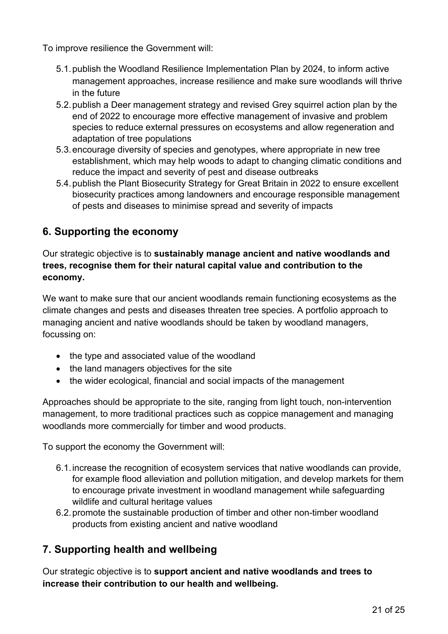To improve resilience the Government will:

- 5.1.publish the Woodland Resilience Implementation Plan by 2024, to inform active management approaches, increase resilience and make sure woodlands will thrive in the future
- 5.2.publish a Deer management strategy and revised Grey squirrel action plan by the end of 2022 to encourage more effective management of invasive and problem species to reduce external pressures on ecosystems and allow regeneration and adaptation of tree populations
- 5.3.encourage diversity of species and genotypes, where appropriate in new tree establishment, which may help woods to adapt to changing climatic conditions and reduce the impact and severity of pest and disease outbreaks
- 5.4.publish the Plant Biosecurity Strategy for Great Britain in 2022 to ensure excellent biosecurity practices among landowners and encourage responsible management of pests and diseases to minimise spread and severity of impacts

# **6. Supporting the economy**

Our strategic objective is to **sustainably manage ancient and native woodlands and trees, recognise them for their natural capital value and contribution to the economy.**

We want to make sure that our ancient woodlands remain functioning ecosystems as the climate changes and pests and diseases threaten tree species. A portfolio approach to managing ancient and native woodlands should be taken by woodland managers, focussing on:

- the type and associated value of the woodland
- the land managers objectives for the site
- the wider ecological, financial and social impacts of the management

Approaches should be appropriate to the site, ranging from light touch, non-intervention management, to more traditional practices such as coppice management and managing woodlands more commercially for timber and wood products.

To support the economy the Government will:

- 6.1.increase the recognition of ecosystem services that native woodlands can provide, for example flood alleviation and pollution mitigation, and develop markets for them to encourage private investment in woodland management while safeguarding wildlife and cultural heritage values
- 6.2.promote the sustainable production of timber and other non-timber woodland products from existing ancient and native woodland

## **7. Supporting health and wellbeing**

Our strategic objective is to **support ancient and native woodlands and trees to increase their contribution to our health and wellbeing.**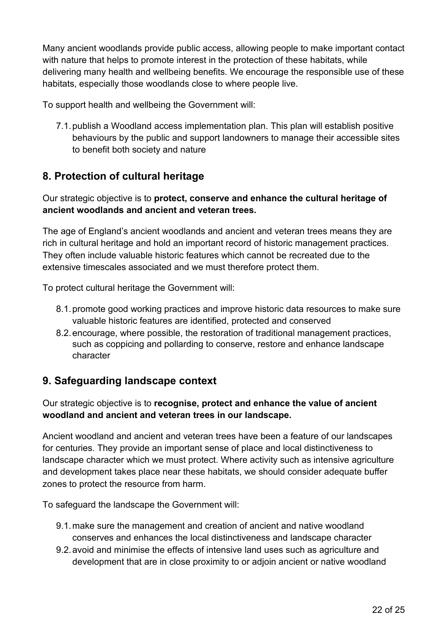Many ancient woodlands provide public access, allowing people to make important contact with nature that helps to promote interest in the protection of these habitats, while delivering many health and wellbeing benefits. We encourage the responsible use of these habitats, especially those woodlands close to where people live.

To support health and wellbeing the Government will:

7.1.publish a Woodland access implementation plan. This plan will establish positive behaviours by the public and support landowners to manage their accessible sites to benefit both society and nature

## **8. Protection of cultural heritage**

Our strategic objective is to **protect, conserve and enhance the cultural heritage of ancient woodlands and ancient and veteran trees.** 

The age of England's ancient woodlands and ancient and veteran trees means they are rich in cultural heritage and hold an important record of historic management practices. They often include valuable historic features which cannot be recreated due to the extensive timescales associated and we must therefore protect them.

To protect cultural heritage the Government will:

- 8.1.promote good working practices and improve historic data resources to make sure valuable historic features are identified, protected and conserved
- 8.2.encourage, where possible, the restoration of traditional management practices, such as coppicing and pollarding to conserve, restore and enhance landscape character

## **9. Safeguarding landscape context**

Our strategic objective is to **recognise, protect and enhance the value of ancient woodland and ancient and veteran trees in our landscape.** 

Ancient woodland and ancient and veteran trees have been a feature of our landscapes for centuries. They provide an important sense of place and local distinctiveness to landscape character which we must protect. Where activity such as intensive agriculture and development takes place near these habitats, we should consider adequate buffer zones to protect the resource from harm.

To safeguard the landscape the Government will:

- 9.1.make sure the management and creation of ancient and native woodland conserves and enhances the local distinctiveness and landscape character
- 9.2.avoid and minimise the effects of intensive land uses such as agriculture and development that are in close proximity to or adjoin ancient or native woodland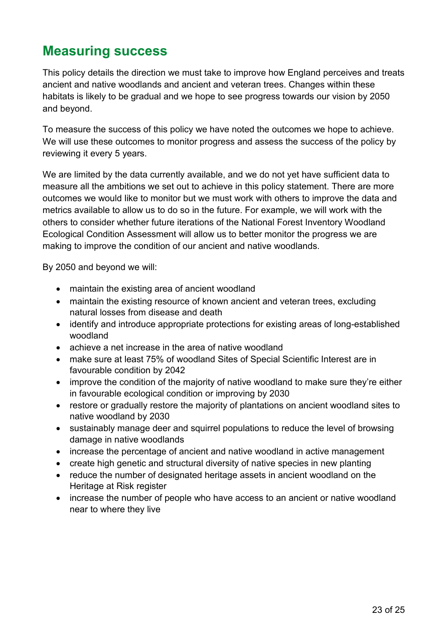# <span id="page-22-0"></span>**Measuring success**

This policy details the direction we must take to improve how England perceives and treats ancient and native woodlands and ancient and veteran trees. Changes within these habitats is likely to be gradual and we hope to see progress towards our vision by 2050 and beyond.

To measure the success of this policy we have noted the outcomes we hope to achieve. We will use these outcomes to monitor progress and assess the success of the policy by reviewing it every 5 years.

We are limited by the data currently available, and we do not yet have sufficient data to measure all the ambitions we set out to achieve in this policy statement. There are more outcomes we would like to monitor but we must work with others to improve the data and metrics available to allow us to do so in the future. For example, we will work with the others to consider whether future iterations of the National Forest Inventory Woodland Ecological Condition Assessment will allow us to better monitor the progress we are making to improve the condition of our ancient and native woodlands.

By 2050 and beyond we will:

- maintain the existing area of ancient woodland
- maintain the existing resource of known ancient and veteran trees, excluding natural losses from disease and death
- identify and introduce appropriate protections for existing areas of long-established woodland
- achieve a net increase in the area of native woodland
- make sure at least 75% of woodland Sites of Special Scientific Interest are in favourable condition by 2042
- improve the condition of the majority of native woodland to make sure they're either in favourable ecological condition or improving by 2030
- restore or gradually restore the majority of plantations on ancient woodland sites to native woodland by 2030
- sustainably manage deer and squirrel populations to reduce the level of browsing damage in native woodlands
- increase the percentage of ancient and native woodland in active management
- create high genetic and structural diversity of native species in new planting
- reduce the number of designated heritage assets in ancient woodland on the Heritage at Risk register
- increase the number of people who have access to an ancient or native woodland near to where they live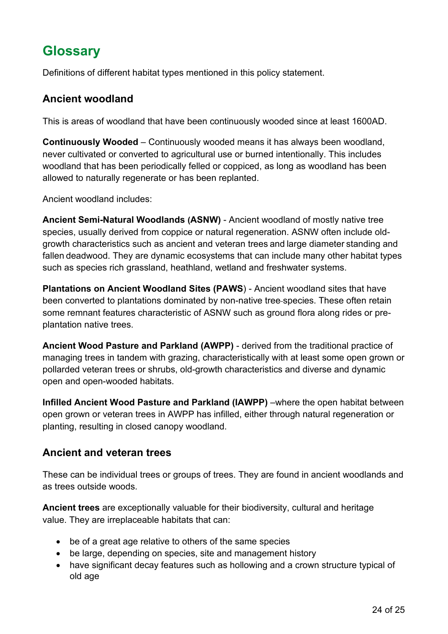# <span id="page-23-0"></span>**Glossary**

Definitions of different habitat types mentioned in this policy statement.

### **Ancient woodland**

This is areas of woodland that have been continuously wooded since at least 1600AD.

**Continuously Wooded** – Continuously wooded means it has always been woodland, never cultivated or converted to agricultural use or burned intentionally. This includes woodland that has been periodically felled or coppiced, as long as woodland has been allowed to naturally regenerate or has been replanted.

Ancient woodland includes:

**Ancient Semi-Natural Woodlands (ASNW)** - Ancient woodland of mostly native tree species, usually derived from coppice or natural regeneration. ASNW often include oldgrowth characteristics such as ancient and veteran trees and large diameter standing and fallen deadwood. They are dynamic ecosystems that can include many other habitat types such as species rich grassland, heathland, wetland and freshwater systems.

**Plantations on Ancient Woodland Sites (PAWS**) - Ancient woodland sites that have been converted to plantations dominated by non-native tree species. These often retain some remnant features characteristic of ASNW such as ground flora along rides or preplantation native trees.

**Ancient Wood Pasture and Parkland (AWPP)** - derived from the traditional practice of managing trees in tandem with grazing, characteristically with at least some open grown or pollarded veteran trees or shrubs, old-growth characteristics and diverse and dynamic open and open-wooded habitats.

**Infilled Ancient Wood Pasture and Parkland (IAWPP)** –where the open habitat between open grown or veteran trees in AWPP has infilled, either through natural regeneration or planting, resulting in closed canopy woodland.

## **Ancient and veteran trees**

These can be individual trees or groups of trees. They are found in ancient woodlands and as trees outside woods.

**Ancient trees** are exceptionally valuable for their biodiversity, cultural and heritage value. They are irreplaceable habitats that can:

- be of a great age relative to others of the same species
- be large, depending on species, site and management history
- have significant decay features such as hollowing and a crown structure typical of old age